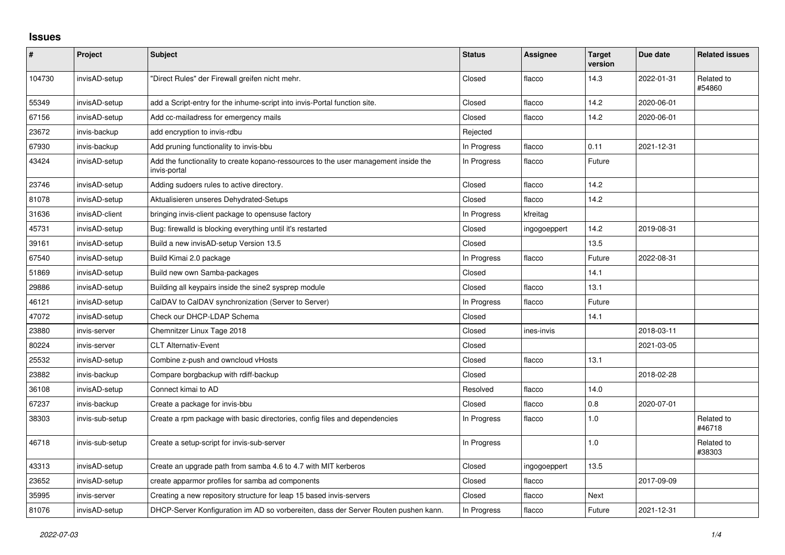## **Issues**

| #      | Project         | <b>Subject</b>                                                                                      | <b>Status</b> | <b>Assignee</b> | <b>Target</b><br>version | Due date   | <b>Related issues</b> |
|--------|-----------------|-----------------------------------------------------------------------------------------------------|---------------|-----------------|--------------------------|------------|-----------------------|
| 104730 | invisAD-setup   | "Direct Rules" der Firewall greifen nicht mehr.                                                     | Closed        | flacco          | 14.3                     | 2022-01-31 | Related to<br>#54860  |
| 55349  | invisAD-setup   | add a Script-entry for the inhume-script into invis-Portal function site.                           | Closed        | flacco          | 14.2                     | 2020-06-01 |                       |
| 67156  | invisAD-setup   | Add cc-mailadress for emergency mails                                                               | Closed        | flacco          | 14.2                     | 2020-06-01 |                       |
| 23672  | invis-backup    | add encryption to invis-rdbu                                                                        | Rejected      |                 |                          |            |                       |
| 67930  | invis-backup    | Add pruning functionality to invis-bbu                                                              | In Progress   | flacco          | 0.11                     | 2021-12-31 |                       |
| 43424  | invisAD-setup   | Add the functionality to create kopano-ressources to the user management inside the<br>invis-portal | In Progress   | flacco          | Future                   |            |                       |
| 23746  | invisAD-setup   | Adding sudoers rules to active directory.                                                           | Closed        | flacco          | 14.2                     |            |                       |
| 81078  | invisAD-setup   | Aktualisieren unseres Dehydrated-Setups                                                             | Closed        | flacco          | 14.2                     |            |                       |
| 31636  | invisAD-client  | bringing invis-client package to opensuse factory                                                   | In Progress   | kfreitag        |                          |            |                       |
| 45731  | invisAD-setup   | Bug: firewalld is blocking everything until it's restarted                                          | Closed        | ingogoeppert    | 14.2                     | 2019-08-31 |                       |
| 39161  | invisAD-setup   | Build a new invisAD-setup Version 13.5                                                              | Closed        |                 | 13.5                     |            |                       |
| 67540  | invisAD-setup   | Build Kimai 2.0 package                                                                             | In Progress   | flacco          | Future                   | 2022-08-31 |                       |
| 51869  | invisAD-setup   | Build new own Samba-packages                                                                        | Closed        |                 | 14.1                     |            |                       |
| 29886  | invisAD-setup   | Building all keypairs inside the sine2 sysprep module                                               | Closed        | flacco          | 13.1                     |            |                       |
| 46121  | invisAD-setup   | CalDAV to CalDAV synchronization (Server to Server)                                                 | In Progress   | flacco          | Future                   |            |                       |
| 47072  | invisAD-setup   | Check our DHCP-LDAP Schema                                                                          | Closed        |                 | 14.1                     |            |                       |
| 23880  | invis-server    | Chemnitzer Linux Tage 2018                                                                          | Closed        | ines-invis      |                          | 2018-03-11 |                       |
| 80224  | invis-server    | <b>CLT Alternativ-Event</b>                                                                         | Closed        |                 |                          | 2021-03-05 |                       |
| 25532  | invisAD-setup   | Combine z-push and owncloud vHosts                                                                  | Closed        | flacco          | 13.1                     |            |                       |
| 23882  | invis-backup    | Compare borgbackup with rdiff-backup                                                                | Closed        |                 |                          | 2018-02-28 |                       |
| 36108  | invisAD-setup   | Connect kimai to AD                                                                                 | Resolved      | flacco          | 14.0                     |            |                       |
| 67237  | invis-backup    | Create a package for invis-bbu                                                                      | Closed        | flacco          | $0.8\,$                  | 2020-07-01 |                       |
| 38303  | invis-sub-setup | Create a rpm package with basic directories, config files and dependencies                          | In Progress   | flacco          | 1.0                      |            | Related to<br>#46718  |
| 46718  | invis-sub-setup | Create a setup-script for invis-sub-server                                                          | In Progress   |                 | 1.0                      |            | Related to<br>#38303  |
| 43313  | invisAD-setup   | Create an upgrade path from samba 4.6 to 4.7 with MIT kerberos                                      | Closed        | ingogoeppert    | 13.5                     |            |                       |
| 23652  | invisAD-setup   | create apparmor profiles for samba ad components                                                    | Closed        | flacco          |                          | 2017-09-09 |                       |
| 35995  | invis-server    | Creating a new repository structure for leap 15 based invis-servers                                 | Closed        | flacco          | Next                     |            |                       |
| 81076  | invisAD-setup   | DHCP-Server Konfiguration im AD so vorbereiten, dass der Server Routen pushen kann.                 | In Progress   | flacco          | Future                   | 2021-12-31 |                       |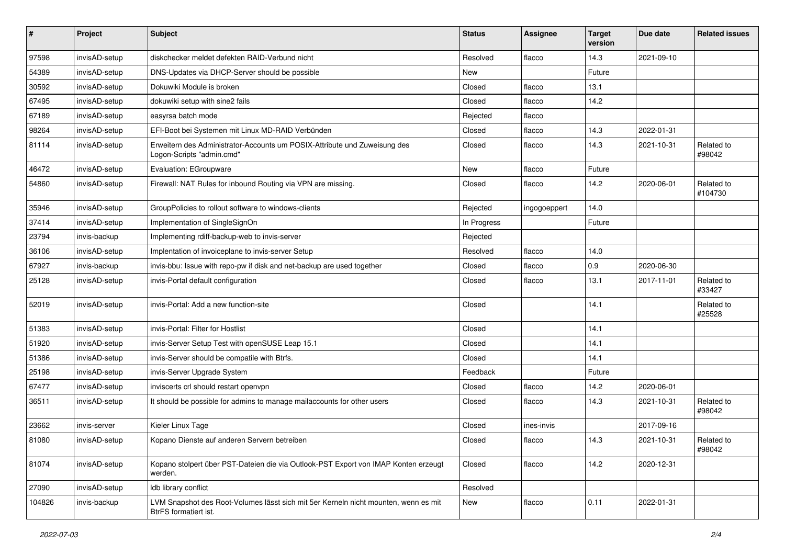| $\pmb{\#}$ | Project       | <b>Subject</b>                                                                                               | <b>Status</b> | <b>Assignee</b> | <b>Target</b><br>version | Due date   | <b>Related issues</b> |
|------------|---------------|--------------------------------------------------------------------------------------------------------------|---------------|-----------------|--------------------------|------------|-----------------------|
| 97598      | invisAD-setup | diskchecker meldet defekten RAID-Verbund nicht                                                               | Resolved      | flacco          | 14.3                     | 2021-09-10 |                       |
| 54389      | invisAD-setup | DNS-Updates via DHCP-Server should be possible                                                               | New           |                 | Future                   |            |                       |
| 30592      | invisAD-setup | Dokuwiki Module is broken                                                                                    | Closed        | flacco          | 13.1                     |            |                       |
| 67495      | invisAD-setup | dokuwiki setup with sine2 fails                                                                              | Closed        | flacco          | 14.2                     |            |                       |
| 67189      | invisAD-setup | easyrsa batch mode                                                                                           | Rejected      | flacco          |                          |            |                       |
| 98264      | invisAD-setup | EFI-Boot bei Systemen mit Linux MD-RAID Verbünden                                                            | Closed        | flacco          | 14.3                     | 2022-01-31 |                       |
| 81114      | invisAD-setup | Erweitern des Administrator-Accounts um POSIX-Attribute und Zuweisung des<br>Logon-Scripts "admin.cmd"       | Closed        | flacco          | 14.3                     | 2021-10-31 | Related to<br>#98042  |
| 46472      | invisAD-setup | Evaluation: EGroupware                                                                                       | New           | flacco          | Future                   |            |                       |
| 54860      | invisAD-setup | Firewall: NAT Rules for inbound Routing via VPN are missing.                                                 | Closed        | flacco          | 14.2                     | 2020-06-01 | Related to<br>#104730 |
| 35946      | invisAD-setup | GroupPolicies to rollout software to windows-clients                                                         | Rejected      | ingogoeppert    | 14.0                     |            |                       |
| 37414      | invisAD-setup | Implementation of SingleSignOn                                                                               | In Progress   |                 | Future                   |            |                       |
| 23794      | invis-backup  | Implementing rdiff-backup-web to invis-server                                                                | Rejected      |                 |                          |            |                       |
| 36106      | invisAD-setup | Implentation of invoiceplane to invis-server Setup                                                           | Resolved      | flacco          | 14.0                     |            |                       |
| 67927      | invis-backup  | invis-bbu: Issue with repo-pw if disk and net-backup are used together                                       | Closed        | flacco          | 0.9                      | 2020-06-30 |                       |
| 25128      | invisAD-setup | invis-Portal default configuration                                                                           | Closed        | flacco          | 13.1                     | 2017-11-01 | Related to<br>#33427  |
| 52019      | invisAD-setup | invis-Portal: Add a new function-site                                                                        | Closed        |                 | 14.1                     |            | Related to<br>#25528  |
| 51383      | invisAD-setup | invis-Portal: Filter for Hostlist                                                                            | Closed        |                 | 14.1                     |            |                       |
| 51920      | invisAD-setup | invis-Server Setup Test with openSUSE Leap 15.1                                                              | Closed        |                 | 14.1                     |            |                       |
| 51386      | invisAD-setup | invis-Server should be compatile with Btrfs.                                                                 | Closed        |                 | 14.1                     |            |                       |
| 25198      | invisAD-setup | invis-Server Upgrade System                                                                                  | Feedback      |                 | Future                   |            |                       |
| 67477      | invisAD-setup | inviscerts crl should restart openvpn                                                                        | Closed        | flacco          | 14.2                     | 2020-06-01 |                       |
| 36511      | invisAD-setup | It should be possible for admins to manage mailaccounts for other users                                      | Closed        | flacco          | 14.3                     | 2021-10-31 | Related to<br>#98042  |
| 23662      | invis-server  | Kieler Linux Tage                                                                                            | Closed        | ines-invis      |                          | 2017-09-16 |                       |
| 81080      | invisAD-setup | Kopano Dienste auf anderen Servern betreiben                                                                 | Closed        | flacco          | 14.3                     | 2021-10-31 | Related to<br>#98042  |
| 81074      | invisAD-setup | Kopano stolpert über PST-Dateien die via Outlook-PST Export von IMAP Konten erzeugt<br>werden.               | Closed        | flacco          | 14.2                     | 2020-12-31 |                       |
| 27090      | invisAD-setup | Idb library conflict                                                                                         | Resolved      |                 |                          |            |                       |
| 104826     | invis-backup  | LVM Snapshot des Root-Volumes lässt sich mit 5er Kerneln nicht mounten, wenn es mit<br>BtrFS formatiert ist. | New           | flacco          | 0.11                     | 2022-01-31 |                       |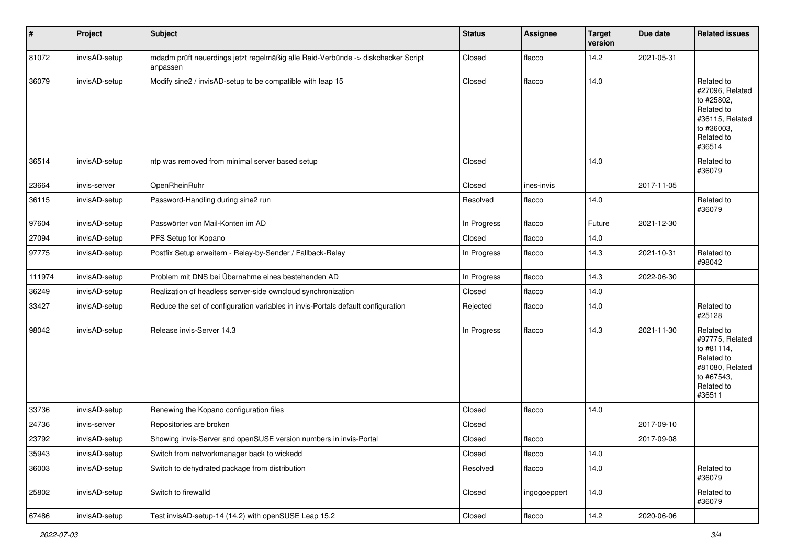| $\vert$ # | Project       | <b>Subject</b>                                                                               | <b>Status</b> | <b>Assignee</b> | <b>Target</b><br>version | Due date   | <b>Related issues</b>                                                                                              |
|-----------|---------------|----------------------------------------------------------------------------------------------|---------------|-----------------|--------------------------|------------|--------------------------------------------------------------------------------------------------------------------|
| 81072     | invisAD-setup | mdadm prüft neuerdings jetzt regelmäßig alle Raid-Verbünde -> diskchecker Script<br>anpassen | Closed        | flacco          | 14.2                     | 2021-05-31 |                                                                                                                    |
| 36079     | invisAD-setup | Modify sine2 / invisAD-setup to be compatible with leap 15                                   | Closed        | flacco          | 14.0                     |            | Related to<br>#27096, Related<br>to #25802,<br>Related to<br>#36115, Related<br>to #36003,<br>Related to<br>#36514 |
| 36514     | invisAD-setup | ntp was removed from minimal server based setup                                              | Closed        |                 | 14.0                     |            | Related to<br>#36079                                                                                               |
| 23664     | invis-server  | OpenRheinRuhr                                                                                | Closed        | ines-invis      |                          | 2017-11-05 |                                                                                                                    |
| 36115     | invisAD-setup | Password-Handling during sine2 run                                                           | Resolved      | flacco          | 14.0                     |            | Related to<br>#36079                                                                                               |
| 97604     | invisAD-setup | Passwörter von Mail-Konten im AD                                                             | In Progress   | flacco          | Future                   | 2021-12-30 |                                                                                                                    |
| 27094     | invisAD-setup | PFS Setup for Kopano                                                                         | Closed        | flacco          | 14.0                     |            |                                                                                                                    |
| 97775     | invisAD-setup | Postfix Setup erweitern - Relay-by-Sender / Fallback-Relay                                   | In Progress   | flacco          | 14.3                     | 2021-10-31 | Related to<br>#98042                                                                                               |
| 111974    | invisAD-setup | Problem mit DNS bei Übernahme eines bestehenden AD                                           | In Progress   | flacco          | 14.3                     | 2022-06-30 |                                                                                                                    |
| 36249     | invisAD-setup | Realization of headless server-side owncloud synchronization                                 | Closed        | flacco          | 14.0                     |            |                                                                                                                    |
| 33427     | invisAD-setup | Reduce the set of configuration variables in invis-Portals default configuration             | Rejected      | flacco          | 14.0                     |            | Related to<br>#25128                                                                                               |
| 98042     | invisAD-setup | Release invis-Server 14.3                                                                    | In Progress   | flacco          | 14.3                     | 2021-11-30 | Related to<br>#97775, Related<br>to #81114,<br>Related to<br>#81080, Related<br>to #67543,<br>Related to<br>#36511 |
| 33736     | invisAD-setup | Renewing the Kopano configuration files                                                      | Closed        | flacco          | 14.0                     |            |                                                                                                                    |
| 24736     | invis-server  | Repositories are broken                                                                      | Closed        |                 |                          | 2017-09-10 |                                                                                                                    |
| 23792     | invisAD-setup | Showing invis-Server and openSUSE version numbers in invis-Portal                            | Closed        | flacco          |                          | 2017-09-08 |                                                                                                                    |
| 35943     | invisAD-setup | Switch from networkmanager back to wickedd                                                   | Closed        | flacco          | 14.0                     |            |                                                                                                                    |
| 36003     | invisAD-setup | Switch to dehydrated package from distribution                                               | Resolved      | flacco          | 14.0                     |            | Related to<br>#36079                                                                                               |
| 25802     | invisAD-setup | Switch to firewalld                                                                          | Closed        | ingogoeppert    | 14.0                     |            | Related to<br>#36079                                                                                               |
| 67486     | invisAD-setup | Test invisAD-setup-14 (14.2) with openSUSE Leap 15.2                                         | Closed        | flacco          | 14.2                     | 2020-06-06 |                                                                                                                    |